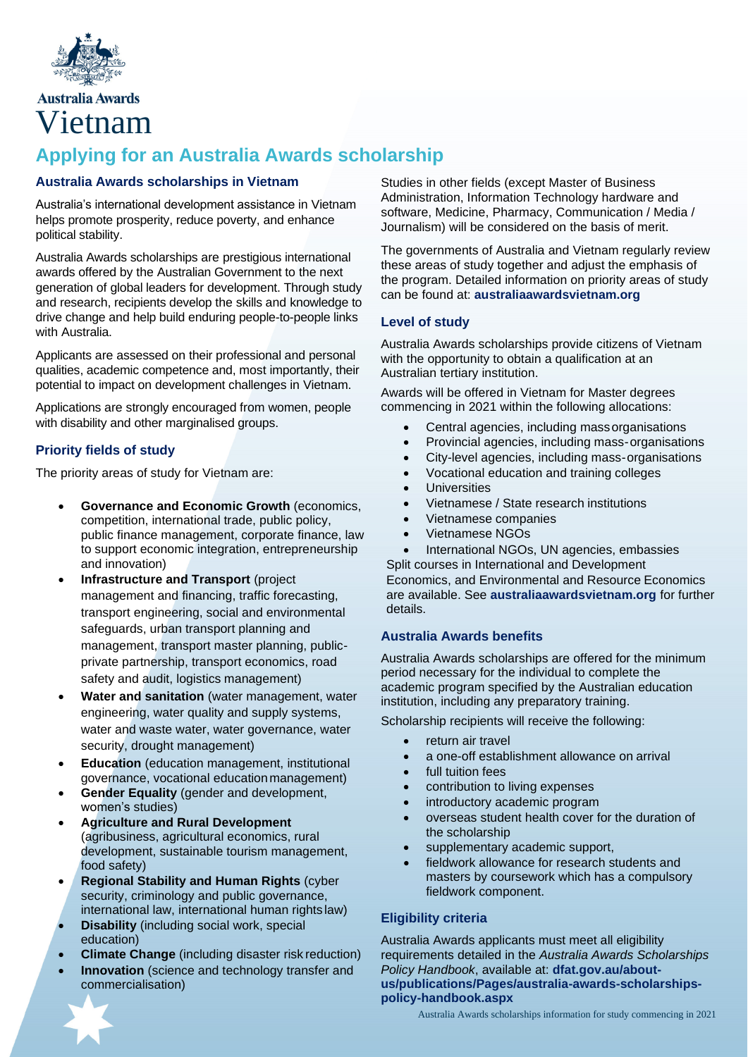

# **Australia Awards** Vietnam

# **Applying for an Australia Awards scholarship**

### **Australia Awards scholarships in Vietnam**

Australia's international development assistance in Vietnam helps promote prosperity, reduce poverty, and enhance political stability.

Australia Awards scholarships are prestigious international awards offered by the Australian Government to the next generation of global leaders for development. Through study and research, recipients develop the skills and knowledge to drive change and help build enduring people-to-people links with Australia.

Applicants are assessed on their professional and personal qualities, academic competence and, most importantly, their potential to impact on development challenges in Vietnam.

Applications are strongly encouraged from women, people with disability and other marginalised groups.

### **Priority fields of study**

The priority areas of study for Vietnam are:

- **Governance and Economic Growth** (economics, competition, international trade, public policy, public finance management, corporate finance, law to support economic integration, entrepreneurship and innovation)
- **Infrastructure and Transport** (project management and financing, traffic forecasting, transport engineering, social and environmental safeguards, urban transport planning and management, transport master planning, publicprivate partnership, transport economics, road safety and audit, logistics management)
- **Water and sanitation** (water management, water engineering, water quality and supply systems, water and waste water, water governance, water security, drought management)
- **Education** (education management, institutional governance, vocational educationmanagement)
- **Gender Equality** (gender and development, women's studies)
- **Agriculture and Rural Development**  (agribusiness, agricultural economics, rural development, sustainable tourism management, food safety)
- **Regional Stability and Human Rights** (cyber security, criminology and public governance, international law, international human rights law)
- **Disability** (including social work, special education)
- **Climate Change** (including disaster risk reduction)
- **Innovation** (science and technology transfer and commercialisation)

Studies in other fields (except Master of Business Administration, Information Technology hardware and software, Medicine, Pharmacy, Communication / Media / Journalism) will be considered on the basis of merit.

The governments of Australia and Vietnam regularly review these areas of study together and adjust the emphasis of the program. Detailed information on priority areas of study can be found at: **australiaawardsvietnam.org**

### **Level of study**

Australia Awards scholarships provide citizens of Vietnam with the opportunity to obtain a qualification at an Australian tertiary institution.

Awards will be offered in Vietnam for Master degrees commencing in 2021 within the following allocations:

- Central agencies, including massorganisations
- Provincial agencies, including mass-organisations
- City-level agencies, including mass-organisations
- Vocational education and training colleges
- **Universities**
- Vietnamese / State research institutions
- Vietnamese companies
- Vietnamese NGOs
- International NGOs, UN agencies, embassies

Split courses in International and Development Economics, and Environmental and Resource Economics are available. See **australiaawardsvietnam.org** for further details.

### **Australia Awards benefits**

Australia Awards scholarships are offered for the minimum period necessary for the individual to complete the academic program specified by the Australian education institution, including any preparatory training.

Scholarship recipients will receive the following:

- return air travel
- a one-off establishment allowance on arrival
- full tuition fees
- contribution to living expenses
- introductory academic program
- overseas student health cover for the duration of the scholarship
- supplementary academic support,
- fieldwork allowance for research students and masters by coursework which has a compulsory fieldwork component.

## **Eligibility criteria**

Australia Awards applicants must meet all eligibility requirements detailed in the *Australia Awards Scholarships Policy Handbook*, available at: **dfat.gov.au/aboutus/publications/Pages/australia-awards-scholarshipspolicy-handbook.aspx**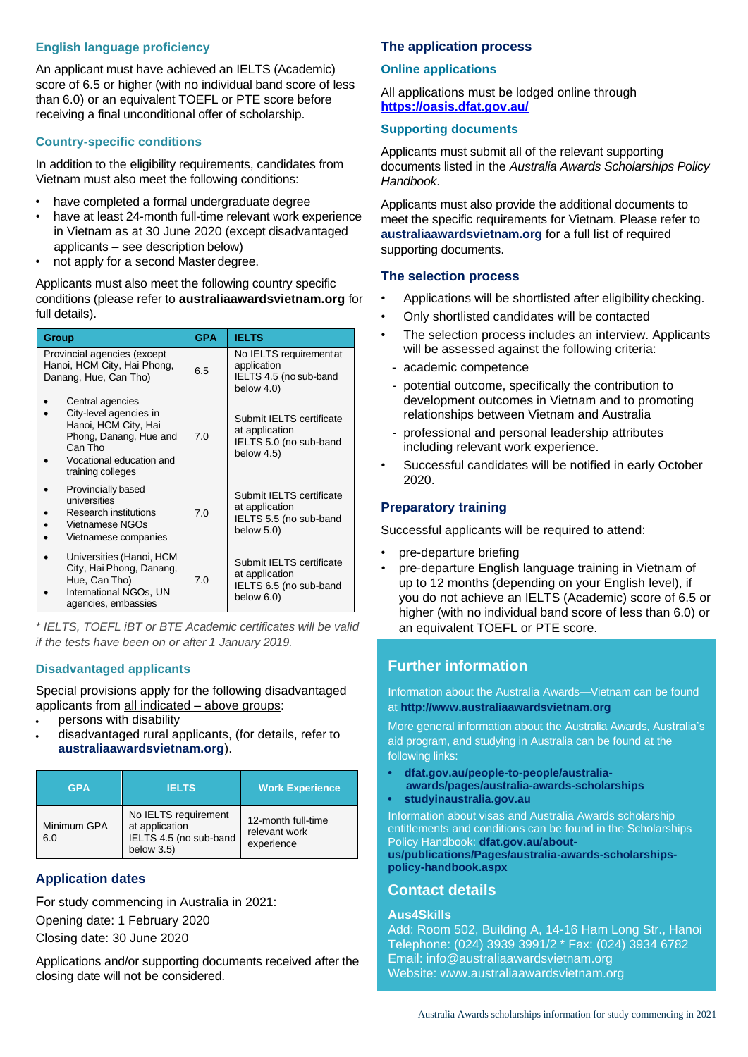### **English language proficiency**

An applicant must have achieved an IELTS (Academic) score of 6.5 or higher (with no individual band score of less than 6.0) or an equivalent TOEFL or PTE score before receiving a final unconditional offer of scholarship.

## **Country-specific conditions**

In addition to the eligibility requirements, candidates from Vietnam must also meet the following conditions:

- have completed a formal undergraduate degree
- have at least 24-month full-time relevant work experience in Vietnam as at 30 June 2020 (except disadvantaged applicants – see description below)
- not apply for a second Master degree.

Applicants must also meet the following country specific conditions (please refer to **australiaawardsvietnam.org** for full details).

| Group                                                                                                                                                    | <b>GPA</b> | <b>IELTS</b>                                                                          |
|----------------------------------------------------------------------------------------------------------------------------------------------------------|------------|---------------------------------------------------------------------------------------|
| Provincial agencies (except<br>Hanoi, HCM City, Hai Phong,<br>Danang, Hue, Can Tho)                                                                      | 6.5        | No IELTS requirement at<br>application<br>IELTS 4.5 (no sub-band<br>below $4.0$ )     |
| Central agencies<br>City-level agencies in<br>Hanoi, HCM City, Hai<br>Phong, Danang, Hue and<br>Can Tho<br>Vocational education and<br>training colleges | 7.0        | Submit IELTS certificate<br>at application<br>IELTS 5.0 (no sub-band<br>below 4.5)    |
| Provincially based<br>universities<br>Research institutions<br>Vietnamese NGOs<br>Vietnamese companies                                                   | 7.0        | Submit IELTS certificate<br>at application<br>IELTS 5.5 (no sub-band<br>below $5.0$ ) |
| Universities (Hanoi, HCM<br>City, Hai Phong, Danang,<br>Hue, Can Tho)<br>International NGOs, UN<br>agencies, embassies                                   | 7.0        | Submit IELTS certificate<br>at application<br>IELTS 6.5 (no sub-band<br>below $6.0$ ) |

*\* IELTS, TOEFL iBT or BTE Academic certificates will be valid if the tests have been on or after 1 January 2019.*

# **Disadvantaged applicants**

Special provisions apply for the following disadvantaged applicants from all indicated – above groups:

- persons with disability
- disadvantaged rural applicants, (for details, refer to **australiaawardsvietnam.org**).

| <b>GPA</b>         | <b>IELTS</b>                                                                   | <b>Work Experience</b>                            |
|--------------------|--------------------------------------------------------------------------------|---------------------------------------------------|
| Minimum GPA<br>6.0 | No IELTS requirement<br>at application<br>IELTS 4.5 (no sub-band<br>below 3.5) | 12-month full-time<br>relevant work<br>experience |

# **Application dates**

For study commencing in Australia in 2021: Opening date: 1 February 2020 Closing date: 30 June 2020

Applications and/or supporting documents received after the closing date will not be considered.

### **The application process**

### **Online applications**

All applications must be lodged online through **<https://oasis.dfat.gov.au/>**

### **Supporting documents**

Applicants must submit all of the relevant supporting documents listed in the *Australia Awards Scholarships Policy Handbook*.

Applicants must also provide the additional documents to meet the specific requirements for Vietnam. Please refer to **australiaawardsvietnam.org** for a full list of required supporting documents.

## **The selection process**

- Applications will be shortlisted after eligibility checking.
- Only shortlisted candidates will be contacted
- The selection process includes an interview. Applicants will be assessed against the following criteria:
	- academic competence
	- potential outcome, specifically the contribution to development outcomes in Vietnam and to promoting relationships between Vietnam and Australia
	- professional and personal leadership attributes including relevant work experience.
- Successful candidates will be notified in early October 2020.

### **Preparatory training**

Successful applicants will be required to attend:

- pre-departure briefing
- pre-departure English language training in Vietnam of up to 12 months (depending on your English level), if you do not achieve an IELTS (Academic) score of 6.5 or higher (with no individual band score of less than 6.0) or an equivalent TOEFL or PTE score.

# **Further information**

Information about the Australia Awards—Vietnam can be found at **[http://www.australiaawardsvietnam.org](http://www.australiaawardsvietnam.org/)**

More general information about the Australia Awards, Australia's aid program, and studying in Australia can be found at the following links:

- **• dfat.gov.au/people-to-people/australiaawards/pages/australia-awards-scholarships**
- **• studyinaustralia.gov.au**

Information about visas and Australia Awards scholarship entitlements and conditions can be found in the Scholarships Policy Handbook: **dfat.gov.au/about-**

**us/publications/Pages/australia-awards-scholarshipspolicy-handbook.aspx**

# **Contact details**

## **Aus4Skills**

Add: Room 502, Building A, 14-16 Ham Long Str., Hanoi Telephone: (024) 3939 3991/2 \* Fax: (024) 3934 6782 Email: [info@australiaawardsvietnam.org](mailto:info@australiaawardsvietnam.org) Website: [www.australiaawardsvietnam.org](http://www.australiaawardsvietnam.org/)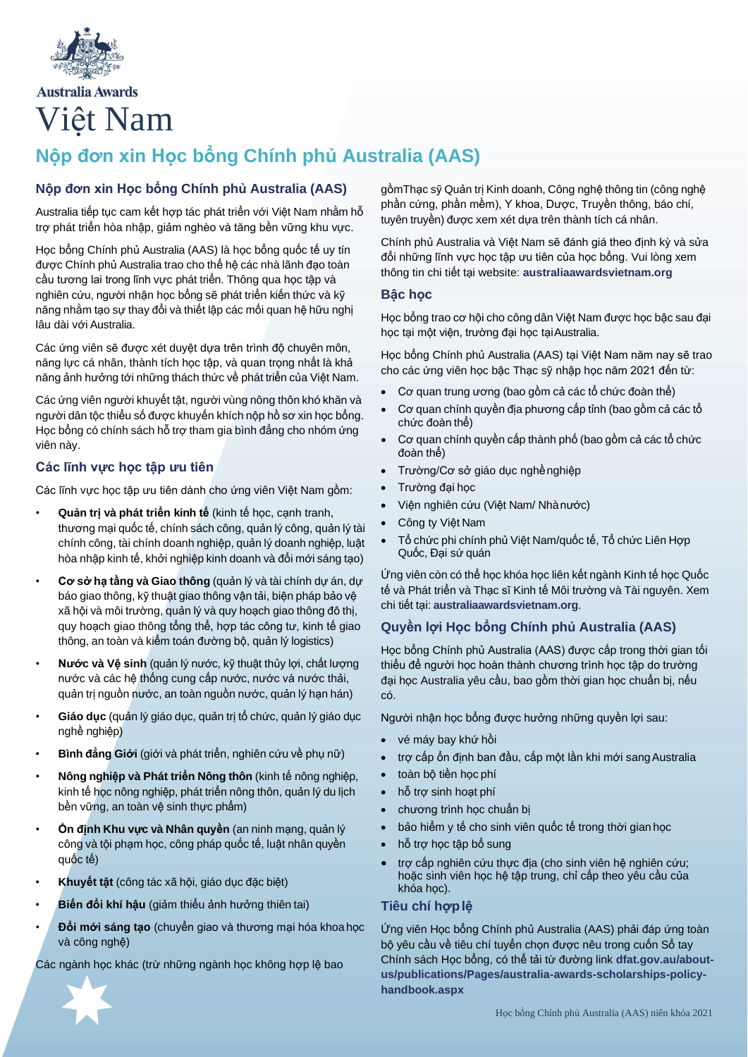

**Australia Awards** Việt Nam

# **Nộp đơn xin Học bổng Chính phủ Australia (AAS)**

### **Nộp đơn xin Học bổng Chính phủ Australia (AAS)**

Australia tiếp tục cam kết hợp tác phát triển với Việt Nam nhằm hỗ trợ phát triển hòa nhập, giảm nghèo và tăng bền vững khu vực.

Học bổng Chính phủ Australia (AAS) là học bổng quốc tế uy tín được Chính phủ Australia trao cho thế hệ các nhà lãnh đạo toàn cầu tương lai trong lĩnh vực phát triển. Thông qua học tập và nghiên cứu, người nhận học bổng sẽ phát triển kiến thức và kỹ năng nhằm tạo sự thay đổi và thiết lập các mối quan hệ hữu nghị lâu dài với Australia.

Các ứng viên sẽ được xét duyệt dựa trên trình độ chuyên môn, năng lực cá nhân, thành tích học tập, và quan trọng nhất là khả năng ảnh hưởng tới những thách thức về phát triển của Việt Nam.

Các ứng viên người khuyết tật, người vùng nông thôn khó khăn và người dân tộc thiểu số được khuyến khích nộp hồ sơ xin học bổng. Học bổng có chính sách hỗ trợ tham gia bình đẳng cho nhóm ứng viên này.

### **Các lĩnh vực học tập ưu tiên**

Các lĩnh vực học tập ưu tiên dành cho ứng viên Việt Nam gồm:

- **Quản trị và phát triển kinh tế** (kinh tế học, cạnh tranh, thương mại quốc tế, chính sách công, quản lý công, quản lý tài chính công, tài chính doanh nghiệp, quản lý doanh nghiệp, luật hòa nhập kinh tế, khởi nghiệp kinh doanh và đổi mới sáng tạo)
- **Cơ sở hạ tầng và Giao thông** (quản lý và tài chính dự án, dự báo giao thông, kỹ thuật giao thông vận tải, biện pháp bảo vệ xã hội và môi trường, quản lý và quy hoạch giao thông đô thị, quy hoạch giao thông tổng thể, hợp tác công tư, kinh tế giao thông, an toàn và kiểm toán đường bộ, quản lý logistics)
- **Nước và Vệ sinh** (quản lý nước, kỹ thuật thủy lợi, chất lượng nước và các hệ thống cung cấp nước, nước và nước thải, quản trị nguồn nước, an toàn nguồn nước, quản lý hạn hán)
- **Giáo dục** (quản lý giáo dục, quản trị tổ chức, quản lý giáo dục nghề nghiệp)
- **Bình đẳng Giới** (giới và phát triển, nghiên cứu về phụ nữ)
- **Nông nghiệp và Phát triển Nông thôn** (kinh tế nông nghiệp, kinh tế học nông nghiệp, phát triển nông thôn, quản lý du lịch bền vững, an toàn vệ sinh thực phẩm)
- **Ổn định Khu vực và Nhân quyền** (an ninh mạng, quản lý công và tội phạm học, công pháp quốc tế, luật nhân quyền quốc tế)
- **Khuyết tật** (công tác xã hội, giáo dục đặc biệt)
- **Biến đổi khí hậu** (giảm thiểu ảnh hưởng thiên tai)
- **Đổi mới sáng tạo** (chuyển giao và thương mại hóa khoa học và công nghệ)

Các ngành học khác (trừ những ngành học không hợp lệ bao



gồmThạc sỹ Quản trị Kinh doanh, Công nghệ thông tin (công nghệ phần cứng, phần mềm), Y khoa, Dược, Truyền thông, báo chí, tuyên truyền) được xem xét dựa trên thành tích cá nhân.

Chính phủ Australia và Việt Nam sẽ đánh giá theo định kỳ và sửa đổi những lĩnh vực học tập ưu tiên của học bổng. Vui lòng xem thông tin chi tiết tại website: **australiaawardsvietnam.org**

#### **Bậc học**

Học bổng trao cơ hội cho công dân Việt Nam được học bậc sau đại học tại một viện, trường đại học tạiAustralia.

Học bổng Chính phủ Australia (AAS) tại Việt Nam năm nay sẽ trao cho các ứng viên học bậc Thạc sỹ nhập học năm 2021 đến từ:

- Cơ quan trung ương (bao gồm cả các tổ chức đoàn thể)
- Cơ quan chính quyền địa phương cấp tỉnh (bao gồm cả các tổ chức đoàn thể)
- Cơ quan chính quyền cấp thành phố (bao gồm cả các tổ chức đoàn thể)
- Trường/Cơ sở giáo dục nghềnghiệp
- Trường đại học
- Viện nghiên cứu (Việt Nam/ Nhànước)
- Công ty Việt Nam
- Tổ chức phi chính phủ Việt Nam/quốc tế, Tổ chức Liên Hợp Quốc, Đại sứ quán

Ứng viên còn có thể học khóa học liên kết ngành Kinh tế học Quốc tế và Phát triển và Thạc sĩ Kinh tế Môi trường và Tài nguyên. Xem chi tiết tại: **australiaawardsvietnam.org**.

### **Quyền lợi Học bổng Chính phủ Australia (AAS)**

Học bổng Chính phủ Australia (AAS) được cấp trong thời gian tối thiểu để người học hoàn thành chương trình học tập do trường đại học Australia yêu cầu, bao gồm thời gian học chuẩn bị, nếu có.

Người nhận học bổng được hưởng những quyền lợi sau:

- vé máy bay khứ hồi
- trợ cấp ổn định ban đầu, cấp một lần khi mới sangAustralia
- toàn bộ tiền học phí
- hỗ trợ sinh hoạt phí
- chương trình học chuẩn bị
- bảo hiểm y tế cho sinh viên quốc tế trong thời gian học
- hỗ trợ học tập bổ sung
- trợ cấp nghiên cứu thực địa (cho sinh viên hệ nghiên cứu; hoặc sinh viên học hệ tập trung, chỉ cấp theo yêu cầu của khóa học).

### **Tiêu chí hợplệ**

Ứng viên Học bổng Chính phủ Australia (AAS) phải đáp ứng toàn bộ yêu cầu về tiêu chí tuyển chọn được nêu trong cuốn Sổ tay Chính sách Học bổng, có thể tải từ đường link **dfat.gov.au/aboutus/publications/Pages/australia-awards-scholarships-policyhandbook.aspx**